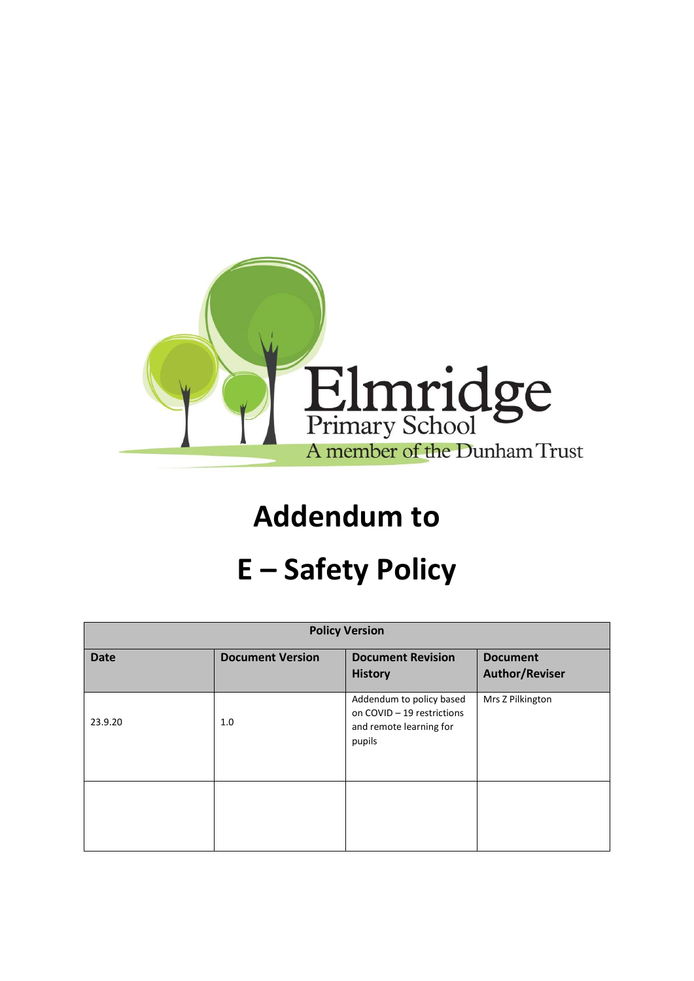

## **Addendum to**

## **E – Safety Policy**

| <b>Policy Version</b> |                         |                                                                                             |                                          |
|-----------------------|-------------------------|---------------------------------------------------------------------------------------------|------------------------------------------|
| <b>Date</b>           | <b>Document Version</b> | <b>Document Revision</b><br><b>History</b>                                                  | <b>Document</b><br><b>Author/Reviser</b> |
| 23.9.20               | 1.0                     | Addendum to policy based<br>on COVID - 19 restrictions<br>and remote learning for<br>pupils | Mrs Z Pilkington                         |
|                       |                         |                                                                                             |                                          |